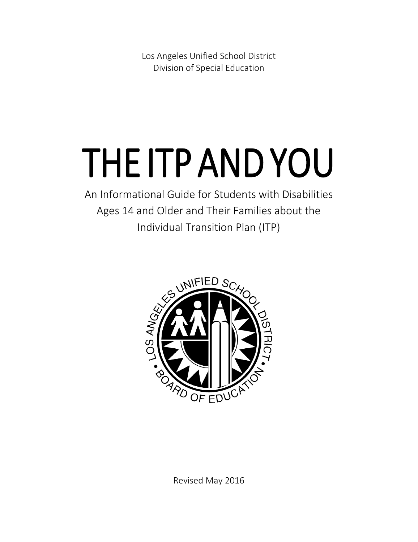Los Angeles Unified School District Division of Special Education

# THE ITP AND YOU

An Informational Guide for Students with Disabilities Ages 14 and Older and Their Families about the Individual Transition Plan (ITP)



Revised May 2016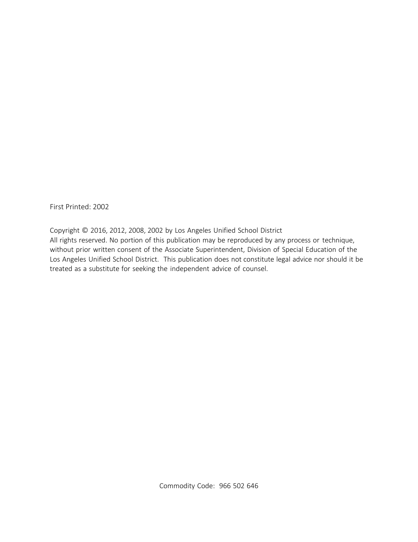First Printed: 2002

Copyright © 2016, 2012, 2008, 2002 by Los Angeles Unified School District All rights reserved. No portion of this publication may be reproduced by any process or technique, without prior written consent of the Associate Superintendent, Division of Special Education of the Los Angeles Unified School District. This publication does not constitute legal advice nor should it be treated as a substitute for seeking the independent advice of counsel.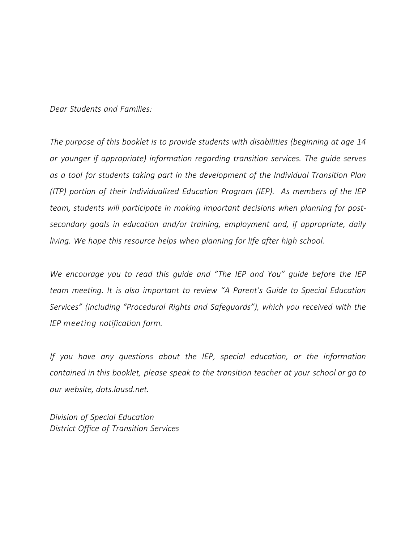*Dear Students and Families:*

*The purpose of this booklet is to provide students with disabilities (beginning at age 14 or younger if appropriate) information regarding transition services. The guide serves as a tool for students taking part in the development of the Individual Transition Plan (ITP) portion of their Individualized Education Program (IEP). As members of the IEP team, students will participate in making important decisions when planning for postsecondary goals in education and/or training, employment and, if appropriate, daily living. We hope this resource helps when planning for life after high school.*

*We encourage you to read this guide and "The IEP and You" guide before the IEP team meeting. It is also important to review "A Parent's Guide to Special Education Services" (including "Procedural Rights and Safeguards"), which you received with the IEP meeting notification form.*

*If you have any questions about the IEP, special education, or the information contained in this booklet, please speak to the transition teacher at your school or go to our website, dots.lausd.net.*

*Division of Special Education District Office of Transition Services*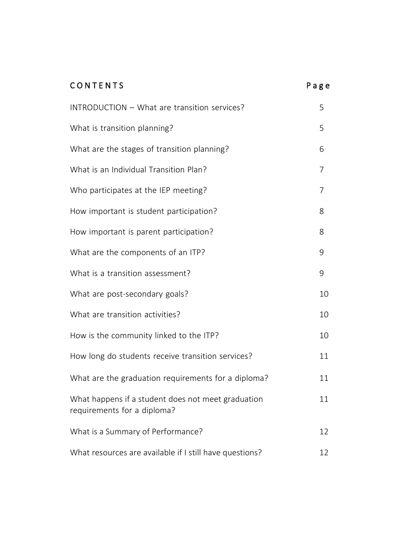| CONTENTS                                                                          | Page           |
|-----------------------------------------------------------------------------------|----------------|
| INTRODUCTION - What are transition services?                                      | 5              |
| What is transition planning?                                                      | 5              |
| What are the stages of transition planning?                                       | 6              |
| What is an Individual Transition Plan?                                            | $\overline{7}$ |
| Who participates at the IEP meeting?                                              | $\overline{7}$ |
| How important is student participation?                                           | 8              |
| How important is parent participation?                                            | 8              |
| What are the components of an ITP?                                                | 9              |
| What is a transition assessment?                                                  | 9              |
| What are post-secondary goals?                                                    | 10             |
| What are transition activities?                                                   | 10             |
| How is the community linked to the ITP?                                           | 10             |
| How long do students receive transition services?                                 | 11             |
| What are the graduation requirements for a diploma?                               | 11             |
| What happens if a student does not meet graduation<br>requirements for a diploma? | 11             |
| What is a Summary of Performance?                                                 | 12             |
| What resources are available if I still have questions?                           | 12             |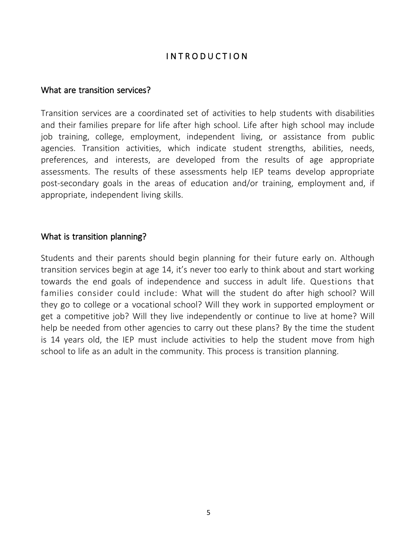# I N T R O D U C T I O N

#### What are transition services?

Transition services are a coordinated set of activities to help students with disabilities and their families prepare for life after high school. Life after high school may include job training, college, employment, independent living, or assistance from public agencies. Transition activities, which indicate student strengths, abilities, needs, preferences, and interests, are developed from the results of age appropriate assessments. The results of these assessments help IEP teams develop appropriate post-secondary goals in the areas of education and/or training, employment and, if appropriate, independent living skills.

#### What is transition planning?

Students and their parents should begin planning for their future early on. Although transition services begin at age 14, it's never too early to think about and start working towards the end goals of independence and success in adult life. Questions that families consider could include: What will the student do after high school? Will they go to college or a vocational school? Will they work in supported employment or get a competitive job? Will they live independently or continue to live at home? Will help be needed from other agencies to carry out these plans? By the time the student is 14 years old, the IEP must include activities to help the student move from high school to life as an adult in the community. This process is transition planning.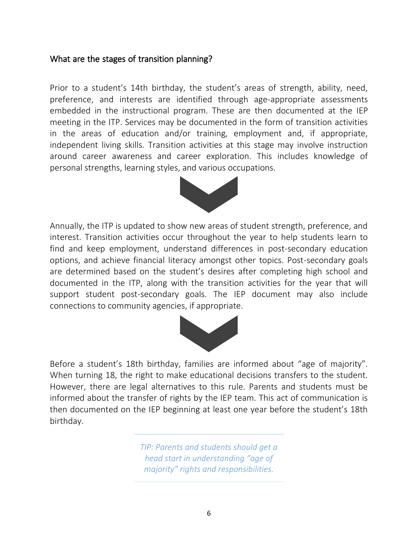## What are the stages of transition planning?

Prior to a student's 14th birthday, the student's areas of strength, ability, need, preference, and interests are identified through age-appropriate assessments embedded in the instructional program. These are then documented at the IEP meeting in the ITP. Services may be documented in the form of transition activities in the areas of education and/or training, employment and, if appropriate, independent living skills. Transition activities at this stage may involve instruction around career awareness and career exploration. This includes knowledge of personal strengths, learning styles, and various occupations.



Annually, the ITP is updated to show new areas of student strength, preference, and interest. Transition activities occur throughout the year to help students learn to find and keep employment, understand differences in post-secondary education options, and achieve financial literacy amongst other topics. Post-secondary goals are determined based on the student's desires after completing high school and documented in the ITP, along with the transition activities for the year that will support student post-secondary goals. The IEP document may also include connections to community agencies, if appropriate.



Before a student's 18th birthday, families are informed about "age of majority". When turning 18, the right to make educational decisions transfers to the student. However, there are legal alternatives to this rule. Parents and students must be informed about the transfer of rights by the IEP team. This act of communication is then documented on the IEP beginning at least one year before the student's 18th birthday.

> *TIP: Parents and students should get a head start in understanding "age of majority" rights and responsibilities.*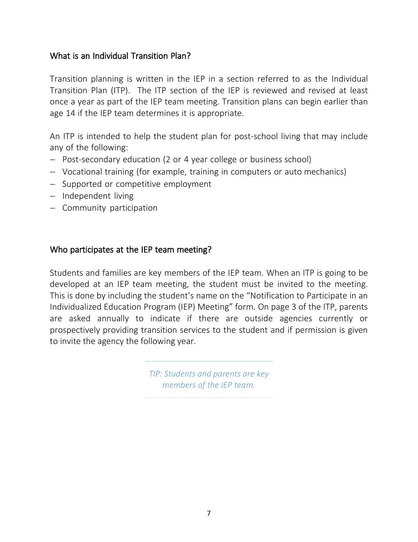# What is an Individual Transition Plan?

Transition planning is written in the IEP in a section referred to as the Individual Transition Plan (ITP). The ITP section of the IEP is reviewed and revised at least once a year as part of the IEP team meeting. Transition plans can begin earlier than age 14 if the IEP team determines it is appropriate.

An ITP is intended to help the student plan for post-school living that may include any of the following:

- Post-secondary education (2 or 4 year college or business school)
- Vocational training (for example, training in computers or auto mechanics)
- Supported or competitive employment
- $-$  Independent living
- Community participation

### Who participates at the IEP team meeting?

Students and families are key members of the IEP team. When an ITP is going to be developed at an IEP team meeting, the student must be invited to the meeting. This is done by including the student's name on the "Notification to Participate in an Individualized Education Program (IEP) Meeting" form. On page 3 of the ITP, parents are asked annually to indicate if there are outside agencies currently or prospectively providing transition services to the student and if permission is given to invite the agency the following year.

> *TIP: Students and parents are key members of the IEP team.*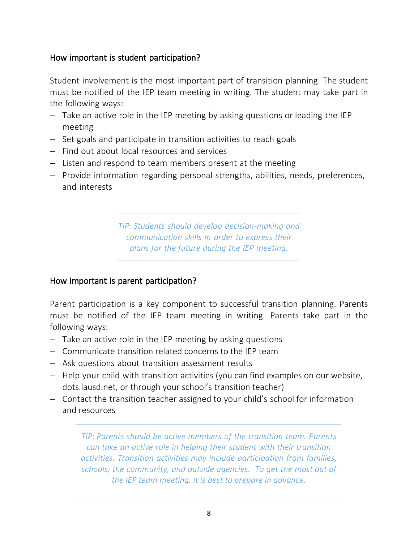# How important is student participation?

Student involvement is the most important part of transition planning. The student must be notified of the IEP team meeting in writing. The student may take part in the following ways:

- Take an active role in the IEP meeting by asking questions or leading the IEP meeting
- Set goals and participate in transition activities to reach goals
- $-$  Find out about local resources and services
- $-$  Listen and respond to team members present at the meeting
- Provide information regarding personal strengths, abilities, needs, preferences, and interests

*TIP: Students should develop decision-making and communication skills in order to express their plans for the future during the IEP meeting.*

#### How important is parent participation?

Parent participation is a key component to successful transition planning. Parents must be notified of the IEP team meeting in writing. Parents take part in the following ways:

- $-$  Take an active role in the IEP meeting by asking questions
- Communicate transition related concerns to the IEP team
- Ask questions about transition assessment results
- $-$  Help your child with transition activities (you can find examples on our website, dots.lausd.net, or through your school's transition teacher)
- Contact the transition teacher assigned to your child's school for information and resources

*TIP: Parents should be active members of the transition team. Parents can take an active role in helping their student with their transition activities. Transition activities may include participation from families, schools, the community, and outside agencies. To get the most out of the IEP team meeting, it is best to prepare in advance.*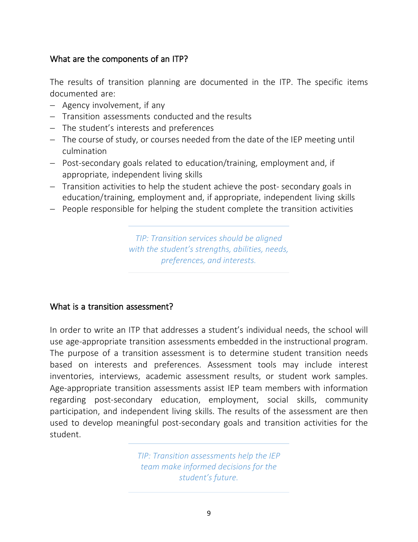# What are the components of an ITP?

The results of transition planning are documented in the ITP. The specific items documented are:

- $-$  Agency involvement, if any
- Transition assessments conducted and the results
- The student's interests and preferences
- The course of study, or courses needed from the date of the IEP meeting until culmination
- Post-secondary goals related to education/training, employment and, if appropriate, independent living skills
- Transition activities to help the student achieve the post-secondary goals in education/training, employment and, if appropriate, independent living skills
- People responsible for helping the student complete the transition activities

*TIP: Transition services should be aligned with the student's strengths, abilities, needs, preferences, and interests.*

#### What is a transition assessment?

In order to write an ITP that addresses a student's individual needs, the school will use age-appropriate transition assessments embedded in the instructional program. The purpose of a transition assessment is to determine student transition needs based on interests and preferences. Assessment tools may include interest inventories, interviews, academic assessment results, or student work samples. Age-appropriate transition assessments assist IEP team members with information regarding post-secondary education, employment, social skills, community participation, and independent living skills. The results of the assessment are then used to develop meaningful post-secondary goals and transition activities for the student.

> *TIP: Transition assessments help the IEP team make informed decisions for the student's future.*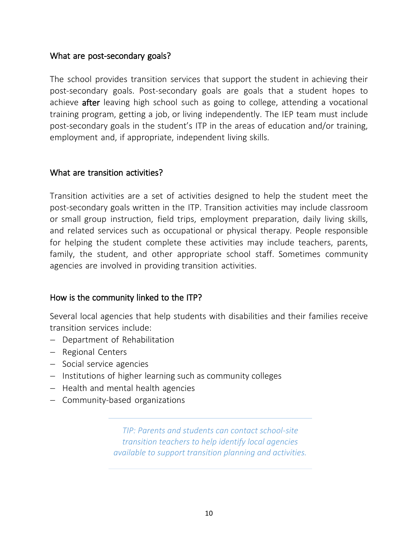### What are post-secondary goals?

The school provides transition services that support the student in achieving their post-secondary goals. Post-secondary goals are goals that a student hopes to achieve after leaving high school such as going to college, attending a vocational training program, getting a job, or living independently. The IEP team must include post-secondary goals in the student's ITP in the areas of education and/or training, employment and, if appropriate, independent living skills.

### What are transition activities?

Transition activities are a set of activities designed to help the student meet the post-secondary goals written in the ITP. Transition activities may include classroom or small group instruction, field trips, employment preparation, daily living skills, and related services such as occupational or physical therapy. People responsible for helping the student complete these activities may include teachers, parents, family, the student, and other appropriate school staff. Sometimes community agencies are involved in providing transition activities.

#### How is the community linked to the ITP?

Several local agencies that help students with disabilities and their families receive transition services include:

- Department of Rehabilitation
- Regional Centers
- Social service agencies
- Institutions of higher learning such as community colleges
- $-$  Health and mental health agencies
- Community-based organizations

*TIP: Parents and students can contact school-site transition teachers to help identify local agencies available to support transition planning and activities.*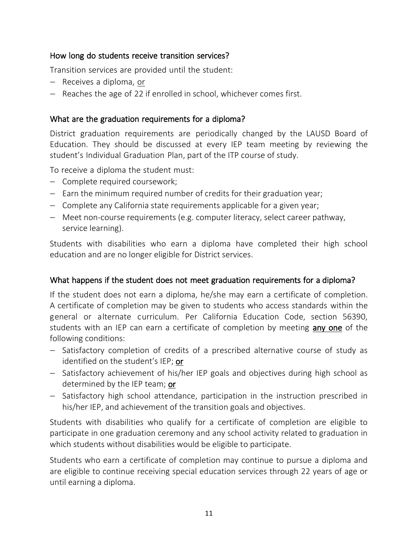#### How long do students receive transition services?

Transition services are provided until the student:

- $-$  Receives a diploma, or
- $-$  Reaches the age of 22 if enrolled in school, whichever comes first.

## What are the graduation requirements for a diploma?

District graduation requirements are periodically changed by the LAUSD Board of Education. They should be discussed at every IEP team meeting by reviewing the student's Individual Graduation Plan, part of the ITP course of study.

To receive a diploma the student must:

- Complete required coursework;
- $-$  Earn the minimum required number of credits for their graduation year;
- Complete any California state requirements applicable for a given year;
- Meet non-course requirements (e.g. computer literacy, select career pathway, service learning).

Students with disabilities who earn a diploma have completed their high school education and are no longer eligible for District services.

## What happens if the student does not meet graduation requirements for a diploma?

If the student does not earn a diploma, he/she may earn a certificate of completion. A certificate of completion may be given to students who access standards within the general or alternate curriculum. Per California Education Code, section 56390, students with an IEP can earn a certificate of completion by meeting any one of the following conditions:

- Satisfactory completion of credits of a prescribed alternative course of study as identified on the student's IEP; or
- Satisfactory achievement of his/her IEP goals and objectives during high school as determined by the IEP team; or
- $-$  Satisfactory high school attendance, participation in the instruction prescribed in his/her IEP, and achievement of the transition goals and objectives.

Students with disabilities who qualify for a certificate of completion are eligible to participate in one graduation ceremony and any school activity related to graduation in which students without disabilities would be eligible to participate.

Students who earn a certificate of completion may continue to pursue a diploma and are eligible to continue receiving special education services through 22 years of age or until earning a diploma.